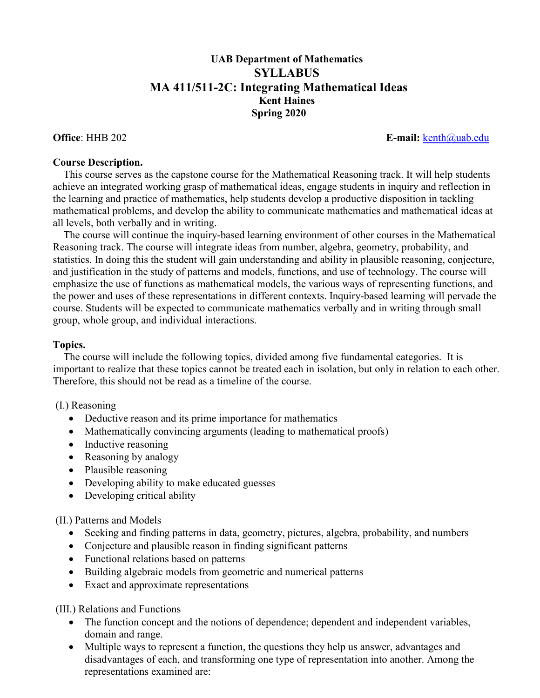## **UAB Department of Mathematics SYLLABUS MA 411/511-2C: Integrating Mathematical Ideas Kent Haines Spring 2020**

**Office**: HHB 202 **E-mail:** [kenth@uab.edu](mailto:kenth@uab.edu)

## **Course Description.**

 This course serves as the capstone course for the Mathematical Reasoning track. It will help students achieve an integrated working grasp of mathematical ideas, engage students in inquiry and reflection in the learning and practice of mathematics, help students develop a productive disposition in tackling mathematical problems, and develop the ability to communicate mathematics and mathematical ideas at all levels, both verbally and in writing.

 The course will continue the inquiry-based learning environment of other courses in the Mathematical Reasoning track. The course will integrate ideas from number, algebra, geometry, probability, and statistics. In doing this the student will gain understanding and ability in plausible reasoning, conjecture, and justification in the study of patterns and models, functions, and use of technology. The course will emphasize the use of functions as mathematical models, the various ways of representing functions, and the power and uses of these representations in different contexts. Inquiry-based learning will pervade the course. Students will be expected to communicate mathematics verbally and in writing through small group, whole group, and individual interactions.

## **Topics.**

 The course will include the following topics, divided among five fundamental categories. It is important to realize that these topics cannot be treated each in isolation, but only in relation to each other. Therefore, this should not be read as a timeline of the course.

## (I.) Reasoning

- Deductive reason and its prime importance for mathematics
- Mathematically convincing arguments (leading to mathematical proofs)
- Inductive reasoning
- Reasoning by analogy
- Plausible reasoning
- Developing ability to make educated guesses
- Developing critical ability

(II.) Patterns and Models

- Seeking and finding patterns in data, geometry, pictures, algebra, probability, and numbers
- Conjecture and plausible reason in finding significant patterns
- Functional relations based on patterns
- Building algebraic models from geometric and numerical patterns
- Exact and approximate representations

(III.) Relations and Functions

- The function concept and the notions of dependence; dependent and independent variables, domain and range.
- Multiple ways to represent a function, the questions they help us answer, advantages and disadvantages of each, and transforming one type of representation into another. Among the representations examined are: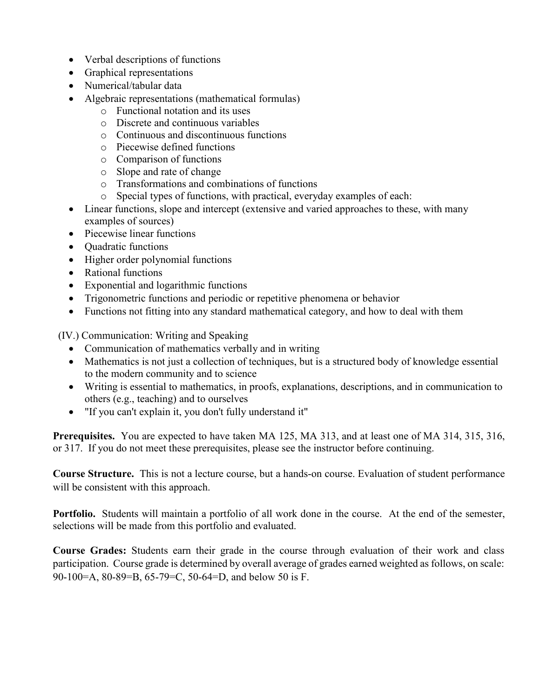- Verbal descriptions of functions
- Graphical representations
- Numerical/tabular data
- Algebraic representations (mathematical formulas)
	- o Functional notation and its uses
	- o Discrete and continuous variables
	- o Continuous and discontinuous functions
	- o Piecewise defined functions
	- o Comparison of functions
	- o Slope and rate of change
	- o Transformations and combinations of functions
	- o Special types of functions, with practical, everyday examples of each:
- Linear functions, slope and intercept (extensive and varied approaches to these, with many examples of sources)
- Piecewise linear functions
- Ouadratic functions
- Higher order polynomial functions
- Rational functions
- Exponential and logarithmic functions
- Trigonometric functions and periodic or repetitive phenomena or behavior
- Functions not fitting into any standard mathematical category, and how to deal with them

(IV.) Communication: Writing and Speaking

- Communication of mathematics verbally and in writing
- Mathematics is not just a collection of techniques, but is a structured body of knowledge essential to the modern community and to science
- Writing is essential to mathematics, in proofs, explanations, descriptions, and in communication to others (e.g., teaching) and to ourselves
- "If you can't explain it, you don't fully understand it"

**Prerequisites.** You are expected to have taken MA 125, MA 313, and at least one of MA 314, 315, 316, or 317. If you do not meet these prerequisites, please see the instructor before continuing.

**Course Structure.** This is not a lecture course, but a hands-on course. Evaluation of student performance will be consistent with this approach.

**Portfolio.** Students will maintain a portfolio of all work done in the course. At the end of the semester, selections will be made from this portfolio and evaluated.

**Course Grades:** Students earn their grade in the course through evaluation of their work and class participation. Course grade is determined by overall average of grades earned weighted as follows, on scale: 90-100=A, 80-89=B, 65-79=C, 50-64=D, and below 50 is F.